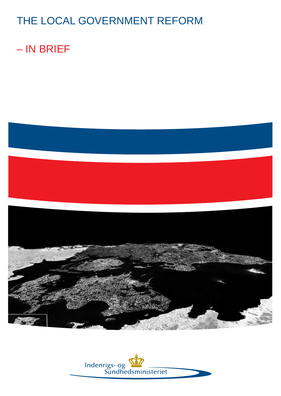# THE LOCAL GOVERNMENT REFORM

# – IN BRIEF



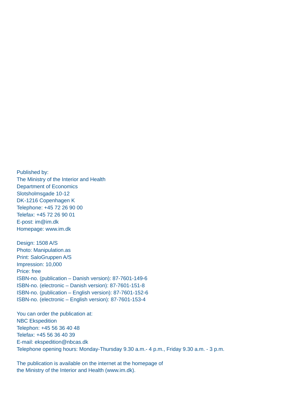Published by: The Ministry of the Interior and Health Department of Economics Slotsholmsgade 10-12 DK-1216 Copenhagen K Telephone: +45 72 26 90 00 Telefax: +45 72 26 90 01 E-post: im@im.dk Homepage: www.im.dk

Design: 1508 A/S Photo: Manipulation.as Print: SaloGruppen A/S Impression: 10,000 Price: free ISBN-no. (publication – Danish version): 87-7601-149-6 ISBN-no. (electronic – Danish version): 87-7601-151-8 ISBN-no. (publication – English version): 87-7601-152-6 ISBN-no. (electronic – English version): 87-7601-153-4

You can order the publication at: NBC Ekspedition Telephon: +45 56 36 40 48 Telefax: +45 56 36 40 39 E-mail: ekspedition@nbcas.dk Telephone opening hours: Monday-Thursday 9.30 a.m.- 4 p.m., Friday 9.30 a.m. - 3 p.m.

The publication is available on the internet at the homepage of the Ministry of the Interior and Health (www.im.dk).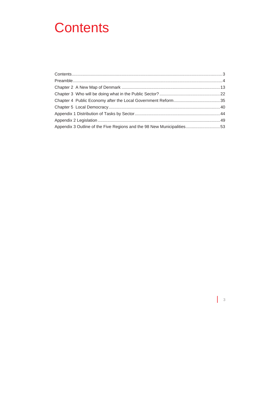# **Contents**

| Appendix 3 Outline of the Five Regions and the 98 New Municipalities53 |  |
|------------------------------------------------------------------------|--|

 $\mathsf{I}$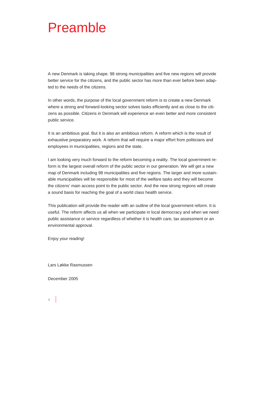# Preamble

A new Denmark is taking shape. 98 strong municipalities and five new regions will provide better service for the citizens, and the public sector has more than ever before been adapted to the needs of the citizens.

In other words, the purpose of the local government reform is to create a new Denmark where a strong and forward-looking sector solves tasks efficiently and as close to the citizens as possible. Citizens in Denmark will experience an even better and more consistent public service.

It is an ambitious goal. But it is also an ambitious reform. A reform which is the result of exhaustive preparatory work. A reform that will require a major effort from politicians and employees in municipalities, regions and the state.

I am looking very much forward to the reform becoming a reality. The local government reform is the largest overall reform of the public sector in our generation. We will get a new map of Denmark including 98 municipalities and five regions. The larger and more sustainable municipalities will be responsible for most of the welfare tasks and they will become the citizens' main access point to the public sector. And the new strong regions will create a sound basis for reaching the goal of a world class health service.

This publication will provide the reader with an outline of the local government reform. It is useful. The reform affects us all when we participate in local democracy and when we need public assistance or service regardless of whether it is health care, tax assessment or an environmental approval.

Enjoy your reading!

Lars Løkke Rasmussen

December 2005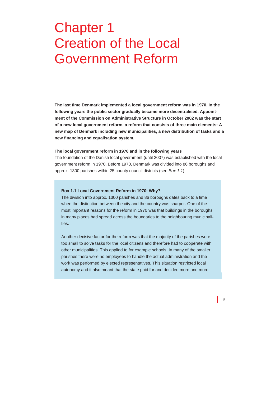# Chapter 1 Creation of the Local Government Reform

**The last time Denmark implemented a local government reform was in 1970. In the following years the public sector gradually became more decentralised. Appointment of the Commission on Administrative Structure in October 2002 was the start of a new local government reform, a reform that consists of three main elements: A new map of Denmark including new municipalities, a new distribution of tasks and a new financing and equalisation system.** 

#### **The local government reform in 1970 and in the following years**

The foundation of the Danish local government (until 2007) was established with the local government reform in 1970. Before 1970, Denmark was divided into 86 boroughs and approx. 1300 parishes within 25 county council districts (see *Box 1.1*).

#### **Box 1.1 Local Government Reform in 1970: Why?**

The division into approx. 1300 parishes and 86 boroughs dates back to a time when the distinction between the city and the country was sharper. One of the most important reasons for the reform in 1970 was that buildings in the boroughs in many places had spread across the boundaries to the neighbouring municipalities.

Another decisive factor for the reform was that the majority of the parishes were too small to solve tasks for the local citizens and therefore had to cooperate with other municipalities. This applied to for example schools. In many of the smaller parishes there were no employees to handle the actual administration and the work was performed by elected representatives. This situation restricted local autonomy and it also meant that the state paid for and decided more and more.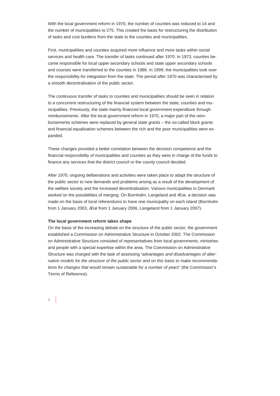With the local government reform in 1970, the number of counties was reduced to 14 and the number of municipalities to 275. This created the basis for restructuring the distribution of tasks and cost burdens from the state to the counties and municipalities.

First, municipalities and counties acquired more influence and more tasks within social services and health care. The transfer of tasks continued after 1970. In 1973, counties became responsible for local upper secondary schools and state upper secondary schools and courses were transferred to the counties in 1986. In 1999, the municipalities took over the responsibility for integration from the state. The period after 1970 was characterised by a smooth decentralisation of the public sector.

The continuous transfer of tasks to counties and municipalities should be seen in relation to a concurrent restructuring of the financial system between the state, counties and municipalities. Previously, the state mainly financed local government expenditure through reimbursements. After the local government reform in 1970, a major part of the reimbursements schemes were replaced by general state grants – the so-called block grants and financial equalisation schemes between the rich and the poor municipalities were expanded.

These changes provided a better correlation between the decision competence and the financial responsibility of municipalities and counties as they were in charge of the funds to finance any services that the district council or the county council decided.

After 1970, ongoing deliberations and activities were taken place to adapt the structure of the public sector to new demands and problems arising as a result of the development of the welfare society and the increased decentralisation. Various municipalities in Denmark worked on the possibilities of merging. On Bornholm, Langeland and Ærø, a decision was made on the basis of local referendums to have one municipality on each island (Bornholm from 1 January 2003, Ærø from 1 January 2006, Langeland from 1 January 2007).

## **The local government reform takes shape**

On the basis of the increasing debate on the structure of the public sector, the government established a Commission on Administrative Structure in October 2002. The Commission on Administrative Structure consisted of representatives from local governments, ministries and people with a special expertise within the area. The Commission on Administrative Structure was charged with the task of assessing "*advantages and disadvantages of alternative models for the structure of the public sector and on this basis to make recommendations for changes that would remain sustainable for a number of years*" (the Commission's Terms of Reference).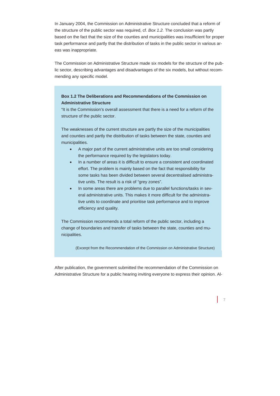In January 2004, the Commission on Administrative Structure concluded that a reform of the structure of the public sector was required, cf. *Box 1.2.* The conclusion was partly based on the fact that the size of the counties and municipalities was insufficient for proper task performance and partly that the distribution of tasks in the public sector in various areas was inappropriate.

The Commission on Administrative Structure made six models for the structure of the public sector, describing advantages and disadvantages of the six models, but without recommending any specific model.

# **Box 1.2 The Deliberations and Recommendations of the Commission on Administrative Structure**

"It is the Commission's overall assessment that there is a need for a reform of the structure of the public sector.

The weaknesses of the current structure are partly the size of the municipalities and counties and partly the distribution of tasks between the state, counties and municipalities.

- A major part of the current administrative units are too small considering the performance required by the legislators today.
- In a number of areas it is difficult to ensure a consistent and coordinated effort. The problem is mainly based on the fact that responsibility for some tasks has been divided between several decentralised administrative units. The result is a risk of "grey zones".
- In some areas there are problems due to parallel functions/tasks in several administrative units. This makes it more difficult for the administrative units to coordinate and prioritise task performance and to improve efficiency and quality.

The Commission recommends a total reform of the public sector, including a change of boundaries and transfer of tasks between the state, counties and municipalities.

(Excerpt from the Recommendation of the Commission on Administrative Structure)

After publication, the government submitted the recommendation of the Commission on Administrative Structure for a public hearing inviting everyone to express their opinion. Al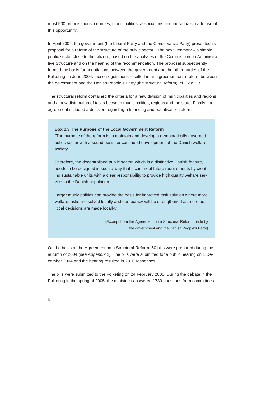most 500 organisations, counties, municipalities, associations and individuals made use of this opportunity.

In April 2004, the government (the Liberal Party and the Conservative Party) presented its proposal for a reform of the structure of the public sector "The new Denmark – a simple public sector close to the citizen", based on the analyses of the Commission on Administrative Structure and on the hearing of the recommendation. The proposal subsequently formed the basis for negotiations between the government and the other parties of the Folketing. In June 2004, these negotiations resulted in an agreement on a reform between the government and the Danish People's Party (the structural reform), cf. *Box 1.3.*

The structural reform contained the criteria for a new division of municipalities and regions and a new distribution of tasks between municipalities, regions and the state. Finally, the agreement included a decision regarding a financing and equalisation reform.

### **Box 1.3 The Purpose of the Local Government Reform**

"The purpose of the reform is to maintain and develop a democratically governed public sector with a sound basis for continued development of the Danish welfare society.

Therefore, the decentralised public sector, which is a distinctive Danish feature, needs to be designed in such a way that it can meet future requirements by creating sustainable units with a clear responsibility to provide high quality welfare service to the Danish population.

Larger municipalities can provide the basis for improved task solution where more welfare tasks are solved locally and democracy will be strengthened as more political decisions are made locally."

> (Excerpt from the Agreement on a Structural Reform made by the government and the Danish People's Party)

On the basis of the Agreement on a Structural Reform, 50 bills were prepared during the autumn of 2004 (see *Appendix 2*). The bills were submitted for a public hearing on 1 December 2004 and the hearing resulted in 2300 responses.

The bills were submitted to the Folketing on 24 February 2005. During the debate in the Folketing in the spring of 2005, the ministries answered 1739 questions from committees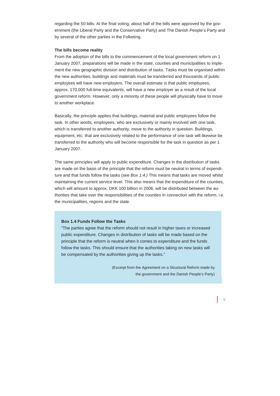regarding the 50 bills. At the final voting, about half of the bills were approved by the government (the Liberal Party and the Conservative Party) and The Danish People's Party and by several of the other parties in the Folketing.

# **The bills become reality**

From the adoption of the bills to the commencement of the local government reform on 1 January 2007, preparations will be made in the state, counties and municipalities to implement the new geographic division and distribution of tasks. Tasks must be organised within the new authorities, buildings and materials must be transferred and thousands of public employees will have new employers. The overall estimate is that public employees, approx. 170,000 full-time equivalents, will have a new employer as a result of the local government reform. However, only a minority of these people will physically have to move to another workplace.

Basically, the principle applies that buildings, material and public employees follow the task. In other words, employees, who are exclusively or mainly involved with one task, which is transferred to another authority, move to the authority in question. Buildings, equipment, etc. that are exclusively related to the performance of one task will likewise be transferred to the authority who will become responsible for the task in question as per 1 January 2007.

The same principles will apply to public expenditure. Changes in the distribution of tasks are made on the basis of the principle that the reform must be neutral in terms of expenditure and that funds follow the tasks (see *Box 1.4.)* This means that tasks are moved whilst maintaining the current service level. This also means that the expenditure of the counties, which will amount to approx. DKK 100 billion in 2006, will be distributed between the authorities that take over the responsibilities of the counties in connection with the reform, i.e. the municipalities, regions and the state.

# **Box 1.4 Funds Follow the Tasks**

"The parties agree that the reform should not result in higher taxes or increased public expenditure. Changes in distribution of tasks will be made based on the principle that the reform is neutral when it comes to expenditure and the funds follow the tasks. This should ensure that the authorities taking on new tasks will be compensated by the authorities giving up the tasks."

> (Excerpt from the Agreement on a Structural Reform made by the government and the Danish People's Party)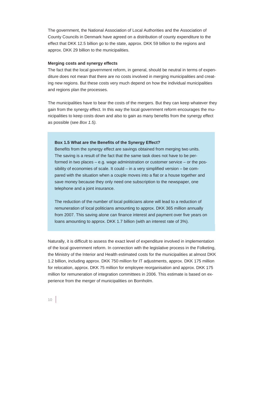The government, the National Association of Local Authorities and the Association of County Councils in Denmark have agreed on a distribution of county expenditure to the effect that DKK 12.5 billion go to the state, approx. DKK 59 billion to the regions and approx. DKK 29 billion to the municipalities.

### **Merging costs and synergy effects**

The fact that the local government reform, in general, should be neutral in terms of expenditure does not mean that there are no costs involved in merging municipalities and creating new regions. But these costs very much depend on how the individual municipalities and regions plan the processes.

The municipalities have to bear the costs of the mergers. But they can keep whatever they gain from the synergy effect. In this way the local government reform encourages the municipalities to keep costs down and also to gain as many benefits from the synergy effect as possible (see *Box 1.5).*

### **Box 1.5 What are the Benefits of the Synergy Effect?**

Benefits from the synergy effect are savings obtained from merging two units. The saving is a result of the fact that the same task does not have to be performed in two places – e.g. wage administration or customer service – or the possibility of economies of scale. It could – in a very simplified version – be compared with the situation when a couple moves into a flat or a house together and save money because they only need one subscription to the newspaper, one telephone and a joint insurance.

The reduction of the number of local politicians alone will lead to a reduction of remuneration of local politicians amounting to approx. DKK 365 million annually from 2007. This saving alone can finance interest and payment over five years on loans amounting to approx. DKK 1.7 billion (with an interest rate of 3%).

Naturally, it is difficult to assess the exact level of expenditure involved in implementation of the local government reform. In connection with the legislative process in the Folketing, the Ministry of the Interior and Health estimated costs for the municipalities at almost DKK 1.2 billion, including approx. DKK 750 million for IT adjustments, approx. DKK 175 million for relocation, approx. DKK 75 million for employee reorganisation and approx. DKK 175 million for remuneration of integration committees in 2006. This estimate is based on experience from the merger of municipalities on Bornholm.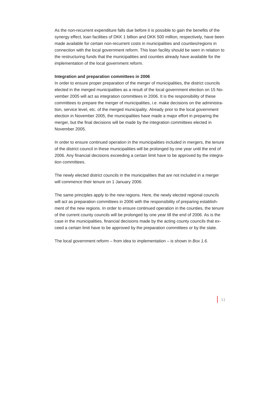As the non-recurrent expenditure falls due before it is possible to gain the benefits of the synergy effect, loan facilities of DKK 1 billion and DKK 500 million, respectively, have been made available for certain non-recurrent costs in municipalities and counties/regions in connection with the local government reform. This loan facility should be seen in relation to the restructuring funds that the municipalities and counties already have available for the implementation of the local government reform.

# **Integration and preparation committees in 2006**

In order to ensure proper preparation of the merger of municipalities, the district councils elected in the merged municipalities as a result of the local government election on 15 November 2005 will act as integration committees in 2006. It is the responsibility of these committees to prepare the merger of municipalities, i.e. make decisions on the administration, service level, etc. of the merged municipality. Already prior to the local government election in November 2005, the municipalities have made a major effort in preparing the merger, but the final decisions will be made by the integration committees elected in November 2005.

In order to ensure continued operation in the municipalities included in mergers, the tenure of the district council in these municipalities will be prolonged by one year until the end of 2006. Any financial decisions exceeding a certain limit have to be approved by the integration committees.

The newly elected district councils in the municipalities that are not included in a merger will commence their tenure on 1 January 2006.

The same principles apply to the new regions. Here, the newly elected regional councils will act as preparation committees in 2006 with the responsibility of preparing establishment of the new regions. In order to ensure continued operation in the counties, the tenure of the current county councils will be prolonged by one year till the end of 2006. As is the case in the municipalities, financial decisions made by the acting county councils that exceed a certain limit have to be approved by the preparation committees or by the state.

The local government reform – from idea to implementation – is shown in *Box 1.6.*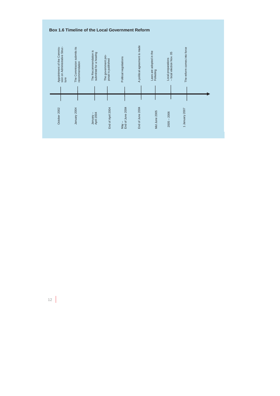



 $\overline{\phantom{a}}$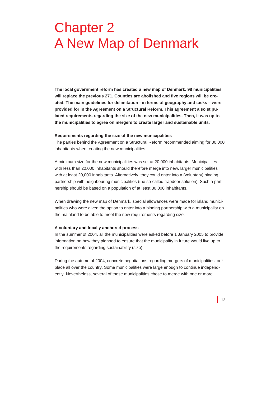# Chapter 2 A New Map of Denmark

**The local government reform has created a new map of Denmark. 98 municipalities will replace the previous 271. Counties are abolished and five regions will be created. The main guidelines for delimitation - in terms of geography and tasks – were provided for in the Agreement on a Structural Reform. This agreement also stipulated requirements regarding the size of the new municipalities. Then, it was up to the municipalities to agree on mergers to create larger and sustainable units.** 

### **Requirements regarding the size of the new municipalities**

The parties behind the Agreement on a Structural Reform recommended aiming for 30,000 inhabitants when creating the new municipalities.

A minimum size for the new municipalities was set at 20,000 inhabitants. Municipalities with less than 20,000 inhabitants should therefore merge into new, larger municipalities with at least 20,000 inhabitants. Alternatively, they could enter into a (voluntary) binding partnership with neighbouring municipalities (the so-called trapdoor solution). Such a partnership should be based on a population of at least 30,000 inhabitants.

When drawing the new map of Denmark, special allowances were made for island municipalities who were given the option to enter into a binding partnership with a municipality on the mainland to be able to meet the new requirements regarding size.

## **A voluntary and locally anchored process**

In the summer of 2004, all the municipalities were asked before 1 January 2005 to provide information on how they planned to ensure that the municipality in future would live up to the requirements regarding sustainability (size).

During the autumn of 2004, concrete negotiations regarding mergers of municipalities took place all over the country. Some municipalities were large enough to continue independently. Nevertheless, several of these municipalities chose to merge with one or more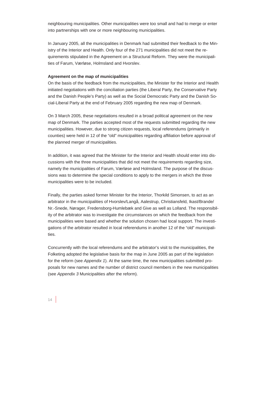neighbouring municipalities. Other municipalities were too small and had to merge or enter into partnerships with one or more neighbouring municipalities.

In January 2005, all the municipalities in Denmark had submitted their feedback to the Ministry of the Interior and Health. Only four of the 271 municipalities did not meet the requirements stipulated in the Agreement on a Structural Reform. They were the municipalities of Farum, Værløse, Holmsland and Hvorslev.

# **Agreement on the map of municipalities**

On the basis of the feedback from the municipalities, the Minister for the Interior and Health initiated negotiations with the conciliation parties (the Liberal Party, the Conservative Party and the Danish People's Party) as well as the Social Democratic Party and the Danish Social-Liberal Party at the end of February 2005 regarding the new map of Denmark.

On 3 March 2005, these negotiations resulted in a broad political agreement on the new map of Denmark. The parties accepted most of the requests submitted regarding the new municipalities. However, due to strong citizen requests, local referendums (primarily in counties) were held in 12 of the "old" municipalities regarding affiliation before approval of the planned merger of municipalities.

In addition, it was agreed that the Minister for the Interior and Health should enter into discussions with the three municipalities that did not meet the requirements regarding size, namely the municipalities of Farum, Værløse and Holmsland. The purpose of the discussions was to determine the special conditions to apply to the mergers in which the three municipalities were to be included.

Finally, the parties asked former Minister for the Interior, Thorkild Simonsen, to act as an arbitrator in the municipalities of Hvorslev/Langå, Aalestrup, Christiansfeld, Ikast/Brande/ Nr.-Snede, Nørager, Fredensborg-Humlebæk and Give as well as Lolland. The responsibility of the arbitrator was to investigate the circumstances on which the feedback from the municipalities were based and whether the solution chosen had local support. The investigations of the arbitrator resulted in local referendums in another 12 of the "old" municipalities.

Concurrently with the local referendums and the arbitrator's visit to the municipalities, the Folketing adopted the legislative basis for the map in June 2005 as part of the legislation for the reform (see *Appendix 1*). At the same time, the new municipalities submitted proposals for new names and the number of district council members in the new municipalities (see *Appendix 3* Municipalities after the reform).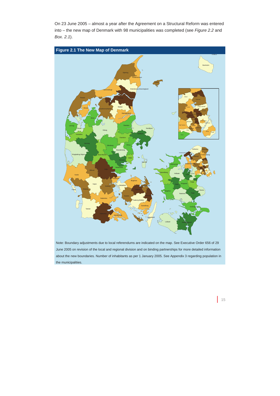On 23 June 2005 – almost a year after the Agreement on a Structural Reform was entered into – the new map of Denmark with 98 municipalities was completed (see *Figure 2.2* and *Box. 2.1*).



Note: Boundary adjustments due to local referendums are indicated on the map. See Executive Order 656 of 29 June 2005 on revision of the local and regional division and on binding partnerships for more detailed information about the new boundaries. Number of inhabitants as per 1 January 2005. See Appendix 3 regarding population in the municipalities.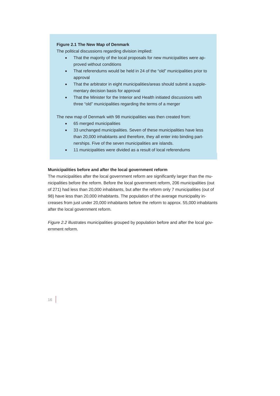# **Figure 2.1 The New Map of Denmark**

The political discussions regarding division implied:

- That the majority of the local proposals for new municipalities were approved without conditions
- That referendums would be held in 24 of the "old" municipalities prior to approval
- That the arbitrator in eight municipalities/areas should submit a supplementary decision basis for approval
- That the Minister for the Interior and Health initiated discussions with three "old" municipalities regarding the terms of a merger

The new map of Denmark with 98 municipalities was then created from:

- 65 merged municipalities
- 33 unchanged municipalities. Seven of these municipalities have less than 20,000 inhabitants and therefore, they all enter into binding partnerships. Five of the seven municipalities are islands.
- 11 municipalities were divided as a result of local referendums

# **Municipalities before and after the local government reform**

The municipalities after the local government reform are significantly larger than the municipalities before the reform. Before the local government reform, 206 municipalities (out of 271) had less than 20,000 inhabitants, but after the reform only 7 municipalities (out of 98) have less than 20,000 inhabitants. The population of the average municipality increases from just under 20,000 inhabitants before the reform to approx. 55,000 inhabitants after the local government reform.

*Figure 2.2* illustrates municipalities grouped by population before and after the local government reform.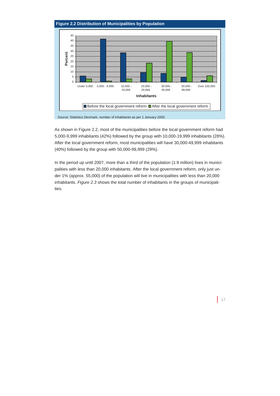# **Figure 2.2 Distribution of Municipalities by Population**



Source: Statistics Denmark, number of inhabitants as per 1 January 2005.

As shown in Figure 2.2, most of the municipalities before the local government reform had 5,000-9,999 inhabitants (42%) followed by the group with 10,000-19,999 inhabitants (28%). After the local government reform, most municipalities will have 30,000-49,999 inhabitants (40%) followed by the group with 50,000-99,999 (29%).

In the period up until 2007, more than a third of the population (1.9 million) lives in municipalities with less than 20,000 inhabitants. After the local government reform, only just under 1% (approx. 55,000) of the population will live in municipalities with less than 20,000 inhabitants. *Figure 2.3* shows the total number of inhabitants in the groups of municipalities.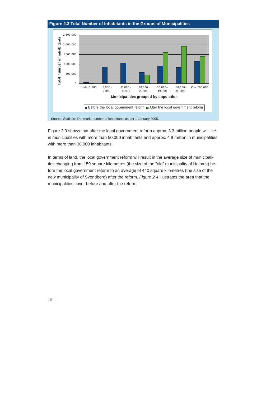



Source: Statistics Denmark, number of inhabitants as per 1 January 2005.

Figure 2.3 shows that after the local government reform approx. 3.3 million people will live in municipalities with more than 50,000 inhabitants and approx. 4.9 million in municipalities with more than 30,000 inhabitants.

In terms of land, the local government reform will result in the average size of municipalities changing from 159 square kilometres (the size of the "old" municipality of Holbæk) before the local government reform to an average of 440 square kilometres (the size of the new municipality of Svendborg) after the reform. *Figure 2.4* illustrates the area that the municipalities cover before and after the reform.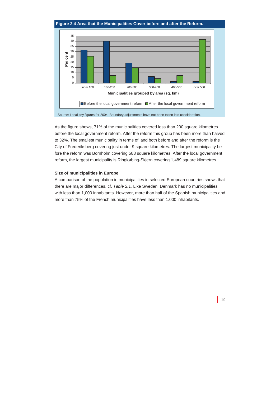# **Figure 2.4 Area that the Municipalities Cover before and after the Reform.**



Source: Local key figures for 2004. Boundary adjustments have not been taken into consideration.

As the figure shows, 71% of the municipalities covered less than 200 square kilometres before the local government reform. After the reform this group has been more than halved to 32%. The smallest municipality in terms of land both before and after the reform is the City of Frederiksberg covering just under 9 square kilometres. The largest municipality before the reform was Bornholm covering 588 square kilometres. After the local government reform, the largest municipality is Ringkøbing-Skjern covering 1,489 square kilometres.

# **Size of municipalities in Europe**

A comparison of the population in municipalities in selected European countries shows that there are major differences, cf. *Table 2.1.* Like Sweden, Denmark has no municipalities with less than 1,000 inhabitants. However, more than half of the Spanish municipalities and more than 75% of the French municipalities have less than 1.000 inhabitants.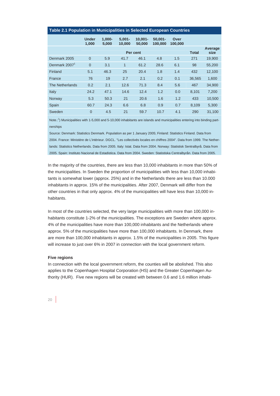| rapie z. r. opulation in municipalities in oelected European Countiles |                       |                    |                     |                      |                       |                 |              |                 |
|------------------------------------------------------------------------|-----------------------|--------------------|---------------------|----------------------|-----------------------|-----------------|--------------|-----------------|
|                                                                        | <b>Under</b><br>1,000 | $1.000 -$<br>5,000 | $5.001 -$<br>10,000 | $10.001 -$<br>50,000 | $50,001 -$<br>100,000 | Over<br>100,000 |              |                 |
|                                                                        |                       |                    |                     | Per cent             |                       |                 | <b>Total</b> | Average<br>size |
| Denmark 2005                                                           | $\overline{0}$        | 5.9                | 41.7                | 46.1                 | 4.8                   | 1.5             | 271          | 19,900          |
| Denmark 2007 <sup>1</sup>                                              | $\overline{0}$        | 3.1                | $\mathbf{1}$        | 61.2                 | 28.6                  | 6.1             | 98           | 55,200          |
| Finland                                                                | 5.1                   | 46.3               | 25                  | 20.4                 | 1.8                   | 1.4             | 432          | 12,100          |
| France                                                                 | 76                    | 19                 | 2.7                 | 2.1                  | 0.2                   | 0.1             | 36.565       | 1,600           |
| <b>The Netherlands</b>                                                 | 0.2                   | 2.1                | 12.6                | 71.3                 | 8.4                   | 5.6             | 467          | 34,900          |
| Italy                                                                  | 24.2                  | 47.1               | 14.6                | 12.4                 | 1.2                   | 0.0             | 8.101        | 7,200           |
| Norway                                                                 | 5.3                   | 50.3               | 21                  | 20.6                 | 1.6                   | 1.2             | 433          | 10,500          |
| Spain                                                                  | 60.7                  | 24.3               | 6.6                 | 6.8                  | 0.9                   | 0.7             | 8,109        | 5,300           |
| Sweden                                                                 | $\overline{0}$        | 4.5                | 21                  | 59.7                 | 10.7                  | 4.1             | 290          | 31,100          |

# **Table 2.1 Population in Municipalities in Selected European Countries**

Note.:<sup>1</sup>) Municipalities with 1-5,000 and 5-10,000 inhabitants are islands and municipalities entering into binding partnerships

Source: Denmark: Statistics Denmark. Population as per 1 January 2005; Finland: Statistics Finland. Data from 2004. France: Ministère de L'intèrieur. DGCL. "Les collectivés locales en chiffres 2004". Data from 1999. The Netherlands: Statistics Netherlands. Data from 2005. Italy: Istat. Data from 2004. Norway: Statistisk Sentralbyrå. Data from 2005. Spain: Instituto Nacional de Estadistica. Data from 2004. Sweden: Statistiska Centralbyrån. Data from 2005.

In the majority of the countries, there are less than 10,000 inhabitants in more than 50% of the municipalities. In Sweden the proportion of municipalities with less than 10,000 inhabitants is somewhat lower (approx. 25%) and in the Netherlands there are less than 10.000 inhabitants in approx. 15% of the municipalities. After 2007, Denmark will differ from the other countries in that only approx. 4% of the municipalities will have less than 10,000 inhabitants.

In most of the countries selected, the very large municipalities with more than 100,000 inhabitants constitute 1-2% of the municipalities. The exceptions are Sweden where approx. 4% of the municipalities have more than 100,000 inhabitants and the Netherlands where approx. 5% of the municipalities have more than 100,000 inhabitants. In Denmark, there are more than 100,000 inhabitants in approx. 1.5% of the municipalities in 2005. This figure will increase to just over 6% in 2007 in connection with the local government reform.

#### **Five regions**

In connection with the local government reform, the counties will be abolished. This also applies to the Copenhagen Hospital Corporation (HS) and the Greater Copenhagen Authority (HUR). Five new regions will be created with between 0.6 and 1.6 million inhabi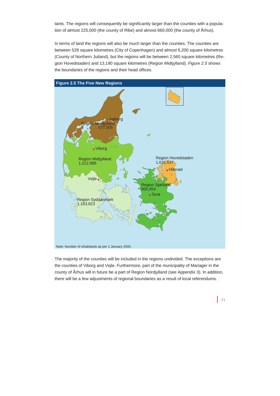tants. The regions will consequently be significantly larger than the counties with a population of almost 225,000 (the county of Ribe) and almost 660,000 (the county of Århus).

In terms of land the regions will also be much larger than the counties. The counties are between 528 square kilometres (City of Copenhagen) and almost 6,200 square kilometres (County of Northern Jutland), but the regions will be between 2,560 square kilometres (Region Hovedstaden) and 13,190 square kilometres (Region Midtjylland). *Figure 2.5* shows the boundaries of the regions and their head offices.



The majority of the counties will be included in the regions undivided. The exceptions are the counties of Viborg and Vejle. Furthermore, part of the municipality of Mariager in the county of Århus will in future be a part of Region Nordjylland (see Appendix 3). In addition, there will be a few adjustments of regional boundaries as a result of local referendums.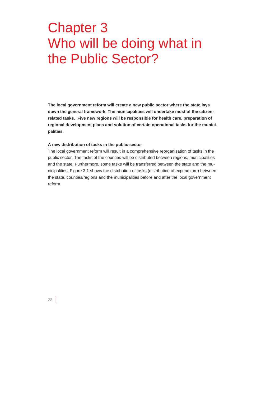# Chapter 3 Who will be doing what in the Public Sector?

**The local government reform will create a new public sector where the state lays down the general framework. The municipalities will undertake most of the citizenrelated tasks. Five new regions will be responsible for health care, preparation of regional development plans and solution of certain operational tasks for the municipalities.** 

#### **A new distribution of tasks in the public sector**

The local government reform will result in a comprehensive reorganisation of tasks in the public sector. The tasks of the counties will be distributed between regions, municipalities and the state. Furthermore, some tasks will be transferred between the state and the municipalities. Figure 3.1 shows the distribution of tasks (distribution of expenditure) between the state, counties/regions and the municipalities before and after the local government reform.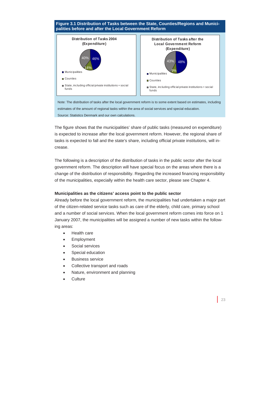#### **Figure 3.1 Distribution of Tasks between the State, Counties/Regions and Municipalities before and after the Local Government Reform Distribution of Tasks 2004 (Expenditure)**  46% 14%  $10<sup>°</sup>$ **Municipalities** Counties State, inc luding offic ial private institutions + soc ial funds **Distribution of Tasks after the Local Government Reform (Expenditure)**  43% 48% 9% **Municipalities** Counties ■ State, including official private institutions + social funds

Note: The distribution of tasks after the local government reform is to some extent based on estimates, including estimates of the amount of regional tasks within the area of social services and special education. Source: Statistics Denmark and our own calculations.

The figure shows that the municipalities' share of public tasks (measured on expenditure) is expected to increase after the local government reform. However, the regional share of tasks is expected to fall and the state's share, including official private institutions, will increase.

The following is a description of the distribution of tasks in the public sector after the local government reform. The description will have special focus on the areas where there is a change of the distribution of responsibility. Regarding the increased financing responsibility of the municipalities, especially within the health care sector, please see Chapter 4.

# **Municipalities as the citizens' access point to the public sector**

Already before the local government reform, the municipalities had undertaken a major part of the citizen-related service tasks such as care of the elderly, child care, primary school and a number of social services. When the local government reform comes into force on 1 January 2007, the municipalities will be assigned a number of new tasks within the following areas:

- Health care
- **Employment**
- Social services
- Special education
- Business service
- Collective transport and roads
- Nature, environment and planning
- **Culture**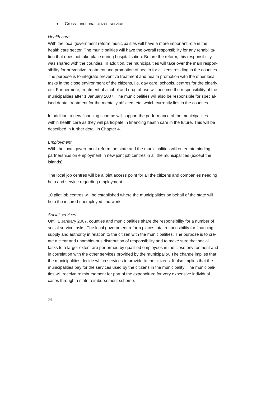• Cross-functional citizen service

# *Health care*

With the local government reform municipalities will have a more important role in the health care sector. The municipalities will have the overall responsibility for any rehabilitation that does not take place during hospitalisation. Before the reform, this responsibility was shared with the counties. In addition, the municipalities will take over the main responsibility for preventive treatment and promotion of health for citizens residing in the counties. The purpose is to integrate preventive treatment and health promotion with the other local tasks in the close environment of the citizens, i.e. day care, schools, centres for the elderly, etc. Furthermore, treatment of alcohol and drug abuse will become the responsibility of the municipalities after 1 January 2007. The municipalities will also be responsible for specialised dental treatment for the mentally afflicted, etc. which currently lies in the counties.

In addition, a new financing scheme will support the performance of the municipalities within health care as they will participate in financing health care in the future. This will be described in further detail in Chapter 4.

# *Employment*

With the local government reform the state and the municipalities will enter into binding partnerships on employment in new joint job centres in all the municipalities (except the islands).

The local job centres will be a joint access point for all the citizens and companies needing help and service regarding employment.

10 pilot job centres will be established where the municipalities on behalf of the state will help the insured unemployed find work.

# *Social services*

Until 1 January 2007, counties and municipalities share the responsibility for a number of social service tasks. The local government reform places total responsibility for financing, supply and authority in relation to the citizen with the municipalities. The purpose is to create a clear and unambiguous distribution of responsibility and to make sure that social tasks to a larger extent are performed by qualified employees in the close environment and in correlation with the other services provided by the municipality. The change implies that the municipalities decide which services to provide to the citizens. It also implies that the municipalities pay for the services used by the citizens in the municipality. The municipalities will receive reimbursement for part of the expenditure for very expensive individual cases through a state reimbursement scheme.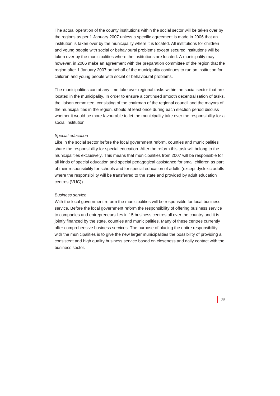The actual operation of the county institutions within the social sector will be taken over by the regions as per 1 January 2007 unless a specific agreement is made in 2006 that an institution is taken over by the municipality where it is located. All institutions for children and young people with social or behavioural problems except secured institutions will be taken over by the municipalities where the institutions are located. A municipality may, however, in 2006 make an agreement with the preparation committee of the region that the region after 1 January 2007 on behalf of the municipality continues to run an institution for children and young people with social or behavioural problems.

The municipalities can at any time take over regional tasks within the social sector that are located in the municipality. In order to ensure a continued smooth decentralisation of tasks, the liaison committee, consisting of the chairman of the regional council and the mayors of the municipalities in the region, should at least once during each election period discuss whether it would be more favourable to let the municipality take over the responsibility for a social institution.

# *Special education*

Like in the social sector before the local government reform, counties and municipalities share the responsibility for special education. After the reform this task will belong to the municipalities exclusively. This means that municipalities from 2007 will be responsible for all kinds of special education and special pedagogical assistance for small children as part of their responsibility for schools and for special education of adults (except dyslexic adults where the responsibility will be transferred to the state and provided by adult education centres (VUC)).

### *Business service*

With the local government reform the municipalities will be responsible for local business service. Before the local government reform the responsibility of offering business service to companies and entrepreneurs lies in 15 business centres all over the country and it is jointly financed by the state, counties and municipalities. Many of these centres currently offer comprehensive business services. The purpose of placing the entire responsibility with the municipalities is to give the new larger municipalities the possibility of providing a consistent and high quality business service based on closeness and daily contact with the business sector.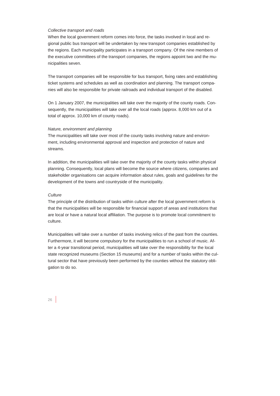## *Collective transport and roads*

When the local government reform comes into force, the tasks involved in local and regional public bus transport will be undertaken by new transport companies established by the regions. Each municipality participates in a transport company. Of the nine members of the executive committees of the transport companies, the regions appoint two and the municipalities seven.

The transport companies will be responsible for bus transport, fixing rates and establishing ticket systems and schedules as well as coordination and planning. The transport companies will also be responsible for private railroads and individual transport of the disabled.

On 1 January 2007, the municipalities will take over the majority of the county roads. Consequently, the municipalities will take over all the local roads (approx. 8,000 km out of a total of approx. 10,000 km of county roads).

# *Nature, environment and planning*

The municipalities will take over most of the county tasks involving nature and environment, including environmental approval and inspection and protection of nature and streams.

In addition, the municipalities will take over the majority of the county tasks within physical planning. Consequently, local plans will become the source where citizens, companies and stakeholder organisations can acquire information about rules, goals and guidelines for the development of the towns and countryside of the municipality.

### *Culture*

The principle of the distribution of tasks within culture after the local government reform is that the municipalities will be responsible for financial support of areas and institutions that are local or have a natural local affiliation. The purpose is to promote local commitment to culture.

Municipalities will take over a number of tasks involving relics of the past from the counties. Furthermore, it will become compulsory for the municipalities to run a school of music. After a 4-year transitional period, municipalities will take over the responsibility for the local state recognized museums (Section 15 museums) and for a number of tasks within the cultural sector that have previously been performed by the counties without the statutory obligation to do so.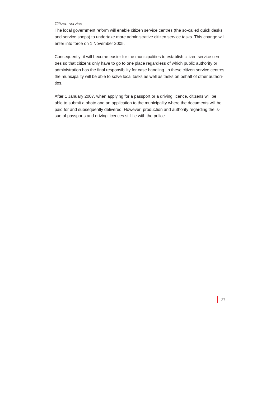# *Citizen service*

The local government reform will enable citizen service centres (the so-called quick desks and service shops) to undertake more administrative citizen service tasks. This change will enter into force on 1 November 2005.

Consequently, it will become easier for the municipalities to establish citizen service centres so that citizens only have to go to one place regardless of which public authority or administration has the final responsibility for case handling. In these citizen service centres the municipality will be able to solve local tasks as well as tasks on behalf of other authorities.

After 1 January 2007, when applying for a passport or a driving licence, citizens will be able to submit a photo and an application to the municipality where the documents will be paid for and subsequently delivered. However, production and authority regarding the issue of passports and driving licences still lie with the police.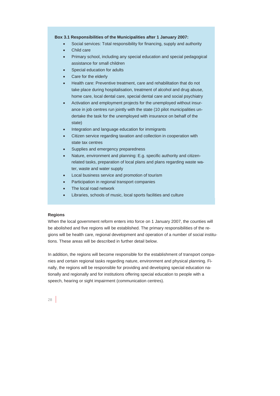# **Box 3.1 Responsibilities of the Municipalities after 1 January 2007:**

- Social services: Total responsibility for financing, supply and authority
- Child care
- Primary school, including any special education and special pedagogical assistance for small children
- Special education for adults
- Care for the elderly
- Health care: Preventive treatment, care and rehabilitation that do not take place during hospitalisation, treatment of alcohol and drug abuse, home care, local dental care, special dental care and social psychiatry
- Activation and employment projects for the unemployed without insurance in job centres run jointly with the state (10 pilot municipalities undertake the task for the unemployed with insurance on behalf of the state)
- Integration and language education for immigrants
- Citizen service regarding taxation and collection in cooperation with state tax centres
- Supplies and emergency preparedness
- Nature, environment and planning: E.g. specific authority and citizenrelated tasks, preparation of local plans and plans regarding waste water, waste and water supply
- Local business service and promotion of tourism
- Participation in regional transport companies
- The local road network
- Libraries, schools of music, local sports facilities and culture

# **Regions**

When the local government reform enters into force on 1 January 2007, the counties will be abolished and five regions will be established. The primary responsibilities of the regions will be health care, regional development and operation of a number of social institutions. These areas will be described in further detail below.

In addition, the regions will become responsible for the establishment of transport companies and certain regional tasks regarding nature, environment and physical planning. Finally, the regions will be responsible for providing and developing special education nationally and regionally and for institutions offering special education to people with a speech, hearing or sight impairment (communication centres).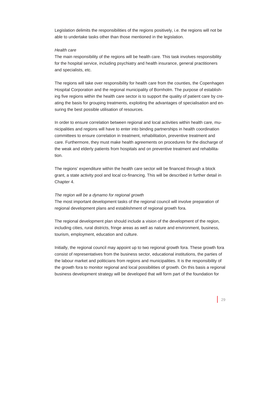Legislation delimits the responsibilities of the regions positively, i.e. the regions will not be able to undertake tasks other than those mentioned in the legislation.

# *Health care*

The main responsibility of the regions will be health care. This task involves responsibility for the hospital service, including psychiatry and health insurance, general practitioners and specialists, etc.

The regions will take over responsibility for health care from the counties, the Copenhagen Hospital Corporation and the regional municipality of Bornholm. The purpose of establishing five regions within the health care sector is to support the quality of patient care by creating the basis for grouping treatments, exploiting the advantages of specialisation and ensuring the best possible utilisation of resources.

In order to ensure correlation between regional and local activities within health care, municipalities and regions will have to enter into binding partnerships in health coordination committees to ensure correlation in treatment, rehabilitation, preventive treatment and care. Furthermore, they must make health agreements on procedures for the discharge of the weak and elderly patients from hospitals and on preventive treatment and rehabilitation.

The regions' expenditure within the health care sector will be financed through a block grant, a state activity pool and local co-financing. This will be described in further detail in Chapter 4.

# *The region will be a dynamo for regional growth*

The most important development tasks of the regional council will involve preparation of regional development plans and establishment of regional growth fora.

The regional development plan should include a vision of the development of the region, including cities, rural districts, fringe areas as well as nature and environment, business, tourism, employment, education and culture.

Initially, the regional council may appoint up to two regional growth fora. These growth fora consist of representatives from the business sector, educational institutions, the parties of the labour market and politicians from regions and municipalities. It is the responsibility of the growth fora to monitor regional and local possibilities of growth. On this basis a regional business development strategy will be developed that will form part of the foundation for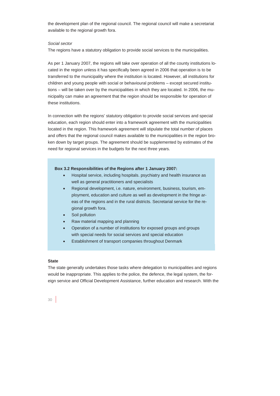the development plan of the regional council. The regional council will make a secretariat available to the regional growth fora.

# *Social sector*

The regions have a statutory obligation to provide social services to the municipalities.

As per 1 January 2007, the regions will take over operation of all the county institutions located in the region unless it has specifically been agreed in 2006 that operation is to be transferred to the municipality where the institution is located. However, all institutions for children and young people with social or behavioural problems – except secured institutions – will be taken over by the municipalities in which they are located. In 2006, the municipality can make an agreement that the region should be responsible for operation of these institutions.

In connection with the regions' statutory obligation to provide social services and special education, each region should enter into a framework agreement with the municipalities located in the region. This framework agreement will stipulate the total number of places and offers that the regional council makes available to the municipalities in the region broken down by target groups. The agreement should be supplemented by estimates of the need for regional services in the budgets for the next three years.

### **Box 3.2 Responsibilities of the Regions after 1 January 2007:**

- Hospital service, including hospitals. psychiatry and health insurance as well as general practitioners and specialists
- Regional development, i.e. nature, environment, business, tourism, employment, education and culture as well as development in the fringe areas of the regions and in the rural districts. Secretarial service for the regional growth fora.
- Soil pollution
- Raw material mapping and planning
- Operation of a number of institutions for exposed groups and groups with special needs for social services and special education
- Establishment of transport companies throughout Denmark

# **State**

The state generally undertakes those tasks where delegation to municipalities and regions would be inappropriate. This applies to the police, the defence, the legal system, the foreign service and Official Development Assistance, further education and research. With the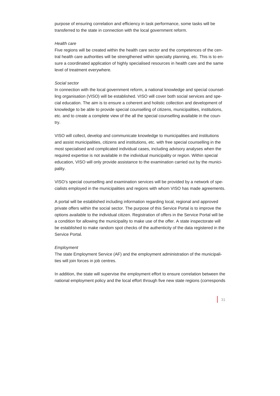purpose of ensuring correlation and efficiency in task performance, some tasks will be transferred to the state in connection with the local government reform.

# *Health care*

Five regions will be created within the health care sector and the competences of the central health care authorities will be strengthened within specialty planning, etc. This is to ensure a coordinated application of highly specialised resources in health care and the same level of treatment everywhere.

# *Social sector*

In connection with the local government reform, a national knowledge and special counselling organisation (VISO) will be established. VISO will cover both social services and special education. The aim is to ensure a coherent and holistic collection and development of knowledge to be able to provide special counselling of citizens, municipalities, institutions, etc. and to create a complete view of the all the special counselling available in the country.

VISO will collect, develop and communicate knowledge to municipalities and institutions and assist municipalities, citizens and institutions, etc. with free special counselling in the most specialised and complicated individual cases, including advisory analyses when the required expertise is not available in the individual municipality or region. Within special education, VISO will only provide assistance to the examination carried out by the municipality.

VISO's special counselling and examination services will be provided by a network of specialists employed in the municipalities and regions with whom VISO has made agreements.

A portal will be established including information regarding local, regional and approved private offers within the social sector. The purpose of this Service Portal is to improve the options available to the individual citizen. Registration of offers in the Service Portal will be a condition for allowing the municipality to make use of the offer. A state inspectorate will be established to make random spot checks of the authenticity of the data registered in the Service Portal.

# *Employment*

The state Employment Service (AF) and the employment administration of the municipalities will join forces in job centres.

In addition, the state will supervise the employment effort to ensure correlation between the national employment policy and the local effort through five new state regions (corresponds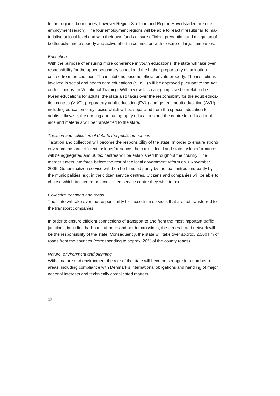to the regional boundaries, however Region Sjælland and Region Hovedstaden are one employment region). The four employment regions will be able to react if results fail to materialise at local level and with their own funds ensure efficient prevention and mitigation of bottlenecks and a speedy and active effort in connection with closure of large companies.

### *Education*

With the purpose of ensuring more coherence in youth educations, the state will take over responsibility for the upper secondary school and the higher preparatory examination course from the counties. The institutions become official private property. The institutions involved in social and health care educations (SOSU) will be approved pursuant to the Act on Institutions for Vocational Training. With a view to creating improved correlation between educations for adults, the state also takes over the responsibility for the adult education centres (VUC), preparatory adult education (FVU) and general adult education (AVU), including education of dyslexics which will be separated from the special education for adults. Likewise, the nursing and radiography educations and the centre for educational aids and materials will be transferred to the state.

#### *Taxation and collection of debt to the public authorities*

Taxation and collection will become the responsibility of the state. In order to ensure strong environments and efficient task performance, the current local and state task performance will be aggregated and 30 tax centres will be established throughout the country. The merger enters into force before the rest of the local government reform on 1 November 2005. General citizen service will then be handled partly by the tax centres and partly by the municipalities, e.g. in the citizen service centres. Citizens and companies will be able to choose which tax centre or local citizen service centre they wish to use.

#### *Collective transport and roads*

The state will take over the responsibility for those train services that are not transferred to the transport companies.

In order to ensure efficient connections of transport to and from the most important traffic junctions, including harbours, airports and border crossings, the general road network will be the responsibility of the state. Consequently, the state will take over approx. 2,000 km of roads from the counties (corresponding to approx. 20% of the county roads).

### *Nature, environment and planning*

Within nature and environment the role of the state will become stronger in a number of areas, including compliance with Denmark's international obligations and handling of major national interests and technically complicated matters.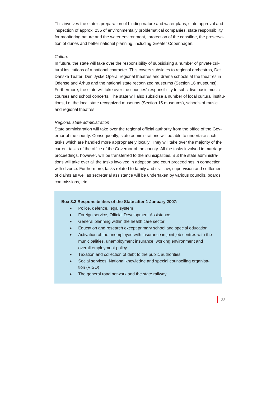This involves the state's preparation of binding nature and water plans, state approval and inspection of approx. 235 of environmentally problematical companies, state responsibility for monitoring nature and the water environment, protection of the coastline, the preservation of dunes and better national planning, including Greater Copenhagen.

# *Culture*

In future, the state will take over the responsibility of subsidising a number of private cultural institutions of a national character. This covers subsidies to regional orchestras, Det Danske Teater, Den Jyske Opera, regional theatres and drama schools at the theatres in Odense and Århus and the national state recognized museums (Section 16 museums). Furthermore, the state will take over the counties' responsibility to subsidise basic music courses and school concerts. The state will also subsidise a number of local cultural institutions, i.e. the local state recognized museums (Section 15 museums), schools of music and regional theatres.

# *Regional state administration*

State administration will take over the regional official authority from the office of the Governor of the county. Consequently, state administrations will be able to undertake such tasks which are handled more appropriately locally. They will take over the majority of the current tasks of the office of the Governor of the county. All the tasks involved in marriage proceedings, however, will be transferred to the municipalities. But the state administrations will take over all the tasks involved in adoption and court proceedings in connection with divorce. Furthermore, tasks related to family and civil law, supervision and settlement of claims as well as secretarial assistance will be undertaken by various councils, boards, commissions, etc.

### **Box 3.3 Responsibilities of the State after 1 January 2007:**

- Police, defence, legal system
- Foreign service, Official Development Assistance
- General planning within the health care sector
- Education and research except primary school and special education
- Activation of the unemployed with insurance in joint job centres with the municipalities, unemployment insurance, working environment and overall employment policy
- Taxation and collection of debt to the public authorities
- Social services: National knowledge and special counselling organisation (VISO)
- The general road network and the state railway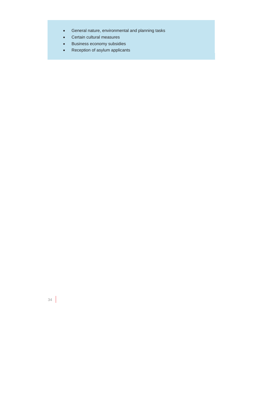- General nature, environmental and planning tasks
- Certain cultural measures
- Business economy subsidies
- Reception of asylum applicants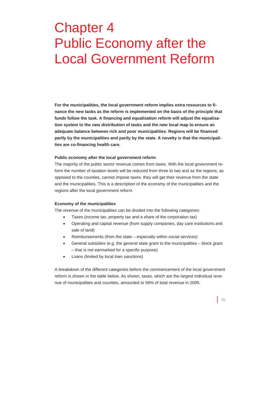# Chapter 4 Public Economy after the Local Government Reform

**For the municipalities, the local government reform implies extra resources to finance the new tasks as the reform is implemented on the basis of the principle that funds follow the task. A financing and equalisation reform will adjust the equalisation system to the new distribution of tasks and the new local map to ensure an adequate balance between rich and poor municipalities. Regions will be financed partly by the municipalities and partly by the state. A novelty is that the municipalities are co-financing health care.** 

# **Public economy after the local government reform**

The majority of the public sector revenue comes from taxes. With the local government reform the number of taxation levels will be reduced from three to two and as the regions, as opposed to the counties, cannot impose taxes, they will get their revenue from the state and the municipalities. This is a description of the economy of the municipalities and the regions after the local government reform.

### **Economy of the municipalities**

The *revenue* of the municipalities can be divided into the following categories:

- Taxes (income tax, property tax and a share of the corporation tax)
- Operating and capital revenue (from supply companies, day care institutions and sale of land)
- Reimbursements (from the state especially within social services)
- General subsidies (e.g. the general state grant to the municipalities block grant – that is not earmarked for a specific purpose)
- Loans (limited by local loan sanctions)

A breakdown of the different categories before the commencement of the local government reform is shown in the table below. As shown, taxes, which are the largest individual revenue of municipalities and counties, amounted to 56% of total revenue in 2005.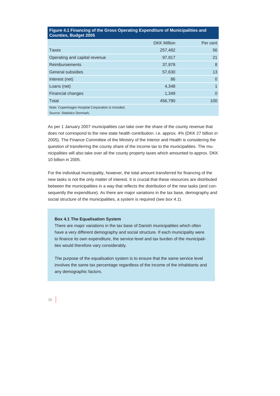| <b>Countles, Budget ZUUS</b>                       |                    |          |
|----------------------------------------------------|--------------------|----------|
|                                                    | <b>DKK Million</b> | Per cent |
| <b>Taxes</b>                                       | 257,482            | 56       |
| Operating and capital revenue                      | 97,917             | 21       |
| <b>Reimbursements</b>                              | 37,978             | 8        |
| General subsidies                                  | 57,630             | 13       |
| Interest (net)                                     | 86                 | $\Omega$ |
| Loans (net)                                        | 4,348              | 1        |
| <b>Financial changes</b>                           | 1,349              | $\Omega$ |
| Total                                              | 456,790            | 100      |
| Note: Copenhagen Hospital Corporation is included. |                    |          |
| Source: Statistics Denmark.                        |                    |          |

# **Figure 4.1 Financing of the Gross Operating Expenditure of Municipalities and Counties, Budget 2005**

As per 1 January 2007 municipalities can take over the share of the county revenue that does not correspond to the new state health contribution. i.e. approx. 4% (DKK 27 billion in 2005). The Finance Committee of the Ministry of the Interior and Health is considering the question of transferring the county share of the income tax to the municipalities. The municipalities will also take over all the county property taxes which amounted to approx. DKK 10 billion in 2005.

For the individual municipality, however, the total amount transferred for financing of the new tasks is not the only matter of interest. It is crucial that these resources are distributed between the municipalities in a way that reflects the distribution of the new tasks (and consequently the expenditure). As there are major variations in the tax base, demography and social structure of the municipalities, a system is required (see *box 4.1*).

### **Box 4.1 The Equalisation System**

There are major variations in the tax base of Danish municipalities which often have a very different demography and social structure. If each municipality were to finance its own expenditure, the service level and tax burden of the municipalities would therefore vary considerably.

The purpose of the equalisation system is to ensure that the same service level involves the same tax percentage regardless of the income of the inhabitants and any demographic factors.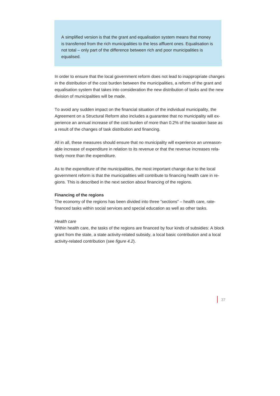A simplified version is that the grant and equalisation system means that money is transferred from the rich municipalities to the less affluent ones. Equalisation is not total – only part of the difference between rich and poor municipalities is equalised.

In order to ensure that the local government reform does not lead to inappropriate changes in the distribution of the cost burden between the municipalities, a reform of the grant and equalisation system that takes into consideration the new distribution of tasks and the new division of municipalities will be made.

To avoid any sudden impact on the financial situation of the individual municipality, the Agreement on a Structural Reform also includes a guarantee that no municipality will experience an annual increase of the cost burden of more than 0.2% of the taxation base as a result of the changes of task distribution and financing.

All in all, these measures should ensure that no municipality will experience an unreasonable increase of expenditure in relation to its revenue or that the revenue increases relatively more than the expenditure.

As to the *expenditure* of the municipalities, the most important change due to the local government reform is that the municipalities will contribute to financing health care in regions. This is described in the next section about financing of the regions.

# **Financing of the regions**

The economy of the regions has been divided into three "sections" – health care, ratefinanced tasks within social services and special education as well as other tasks.

# *Health care*

Within health care, the tasks of the regions are financed by four kinds of subsidies: A block grant from the state, a state activity-related subsidy, a local basic contribution and a local activity-related contribution (see *figure 4.2*).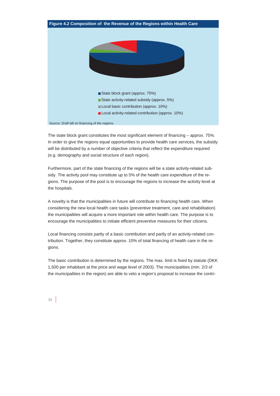

The state block grant constitutes the most significant element of financing – approx. 75%. In order to give the regions equal opportunities to provide health care services, the subsidy will be distributed by a number of objective criteria that reflect the expenditure required (e.g. demography and social structure of each region).

Furthermore, part of the state financing of the regions will be a state activity-related subsidy. The activity pool may constitute up to 5% of the health care expenditure of the regions. The purpose of the pool is to encourage the regions to increase the activity level at the hospitals.

A novelty is that the municipalities in future will contribute to financing health care. When considering the new local health care tasks (preventive treatment, care and rehabilitation) the municipalities will acquire a more important role within health care. The purpose is to encourage the municipalities to initiate efficient preventive measures for their citizens.

Local financing consists partly of a basic contribution and partly of an activity-related contribution. Together, they constitute approx. 10% of total financing of health care in the regions.

The basic contribution is determined by the regions. The max. limit is fixed by statute (DKK 1,500 per inhabitant at the price and wage level of 2003). The municipalities (min. 2/3 of the municipalities in the region) are able to veto a region's proposal to increase the contri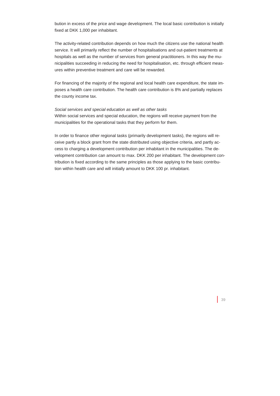bution in excess of the price and wage development. The local basic contribution is initially fixed at DKK 1,000 per inhabitant.

The activity-related contribution depends on how much the citizens use the national health service. It will primarily reflect the number of hospitalisations and out-patient treatments at hospitals as well as the number of services from general practitioners. In this way the municipalities succeeding in reducing the need for hospitalisation, etc. through efficient measures within preventive treatment and care will be rewarded.

For financing of the majority of the regional and local health care expenditure, the state imposes a health care contribution. The health care contribution is 8% and partially replaces the county income tax.

# *Social services and special education as well as other tasks*

Within social services and special education, the regions will receive payment from the municipalities for the operational tasks that they perform for them.

In order to finance other regional tasks (primarily development tasks), the regions will receive partly a block grant from the state distributed using objective criteria, and partly access to charging a development contribution per inhabitant in the municipalities. The development contribution can amount to max. DKK 200 per inhabitant. The development contribution is fixed according to the same principles as those applying to the basic contribution within health care and will initially amount to DKK 100 pr. inhabitant.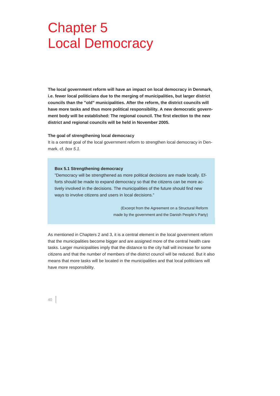# Chapter 5 Local Democracy

**The local government reform will have an impact on local democracy in Denmark, i.e. fewer local politicians due to the merging of municipalities, but larger district councils than the "old" municipalities. After the reform, the district councils will have more tasks and thus more political responsibility. A new democratic government body will be established: The regional council. The first election to the new district and regional councils will be held in November 2005.** 

#### **The goal of strengthening local democracy**

It is a central goal of the local government reform to strengthen local democracy in Denmark. cf. *box 5.1*.

#### **Box 5.1 Strengthening democracy**

"Democracy will be strengthened as more political decisions are made locally. Efforts should be made to expand democracy so that the citizens can be more actively involved in the decisions. The municipalities of the future should find new ways to involve citizens and users in local decisions."

> (Excerpt from the Agreement on a Structural Reform made by the government and the Danish People's Party)

As mentioned in Chapters 2 and 3, it is a central element in the local government reform that the municipalities become bigger and are assigned more of the central health care tasks. Larger municipalities imply that the distance to the city hall will increase for some citizens and that the number of members of the district council will be reduced. But it also means that more tasks will be located in the municipalities and that local politicians will have more responsibility.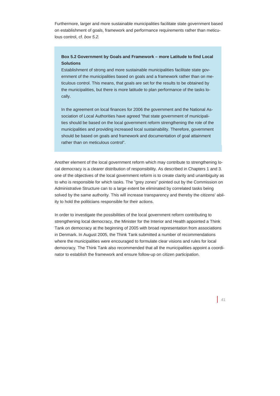Furthermore, larger and more sustainable municipalities facilitate state government based on establishment of goals, framework and performance requirements rather than meticulous control, cf. *box 5.2.*

# **Box 5.2 Government by Goals and Framework – more Latitude to find Local Solutions**

Establishment of strong and more sustainable municipalities facilitate state government of the municipalities based on goals and a framework rather than on meticulous control. This means, that goals are set for the results to be obtained by the municipalities, but there is more latitude to plan performance of the tasks locally.

In the agreement on local finances for 2006 the government and the National Association of Local Authorities have agreed "that state government of municipalities should be based on the local government reform strengthening the role of the municipalities and providing increased local sustainability. Therefore, government should be based on goals and framework and documentation of goal attainment rather than on meticulous control".

Another element of the local government reform which may contribute to strengthening local democracy is a clearer distribution of responsibility. As described in Chapters 1 and 3. one of the objectives of the local government reform is to create clarity and unambiguity as to who is responsible for which tasks. The "grey zones" pointed out by the Commission on Administrative Structure can to a large extent be eliminated by correlated tasks being solved by the same authority. This will increase transparency and thereby the citizens' ability to hold the politicians responsible for their actions.

In order to investigate the possibilities of the local government reform contributing to strengthening local democracy, the Minister for the Interior and Health appointed a Think Tank on democracy at the beginning of 2005 with broad representation from associations in Denmark. In August 2005, the Think Tank submitted a number of recommendations where the municipalities were encouraged to formulate clear visions and rules for local democracy. The Think Tank also recommended that all the municipalities appoint a coordinator to establish the framework and ensure follow-up on citizen participation.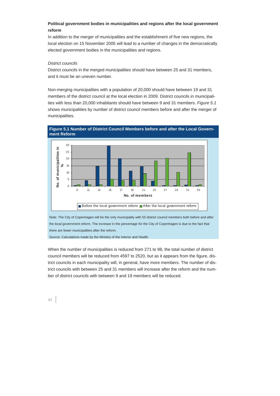# **Political government bodies in municipalities and regions after the local government reform**

In addition to the merger of municipalities and the establishment of five new regions, the local election on 15 November 2005 will lead to a number of changes in the democratically elected government bodies in the municipalities and regions.

# *District councils*

District councils in the merged municipalities should have between 25 and 31 members, and it must be an uneven number.

Non-merging municipalities with a population of 20,000 should have between 19 and 31 members of the district council at the local election in 2009. District councils in municipalities with less than 20,000 inhabitants should have between 9 and 31 members. *Figure 5.1* shows municipalities by number of district council members before and after the merger of municipalities.



**Figure 5.1 Number of District Council Members before and after the Local Government Reform** 

Note: The City of Copenhagen will be the only municipality with 55 district council members both before and after the local government reform. The increase in the percentage for the City of Copenhagen is due to the fact that there are fewer municipalities after the reform.

Source: Calculations made by the Ministry of the Interior and Health.

When the number of municipalities is reduced from 271 to 98, the total number of district council members will be reduced from 4597 to 2520, but as it appears from the figure, district councils in each municipality will, in general, have more members. The number of district councils with between 25 and 31 members will increase after the reform and the number of district councils with between 9 and 19 members will be reduced.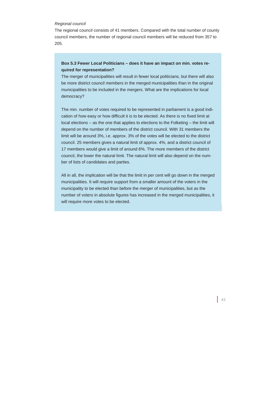# *Regional council*

The regional council consists of 41 members. Compared with the total number of county council members, the number of regional council members will be reduced from 357 to 205.

# **Box 5.3 Fewer Local Politicians – does it have an impact on min. votes required for representation?**

The merger of municipalities will result in fewer local politicians, but there will also be more district council members in the merged municipalities than in the original municipalities to be included in the mergers. What are the implications for local democracy?

The min. number of votes required to be represented in parliament is a good indication of how easy or how difficult it is to be elected. As there is no fixed limit at local elections – as the one that applies to elections to the Folketing – the limit will depend on the number of members of the district council. With 31 members the limit will be around 3%, i.e. approx. 3% of the votes will be elected to the district council. 25 members gives a natural limit of approx. 4%, and a district council of 17 members would give a limit of around 6%. The more members of the district council, the lower the natural limit. The natural limit will also depend on the number of lists of candidates and parties.

All in all, the implication will be that the limit in per cent will go down in the merged municipalities. It will require support from a smaller amount of the voters in the municipality to be elected than before the merger of municipalities, but as the number of voters in absolute figures has increased in the merged municipalities, it will require more votes to be elected.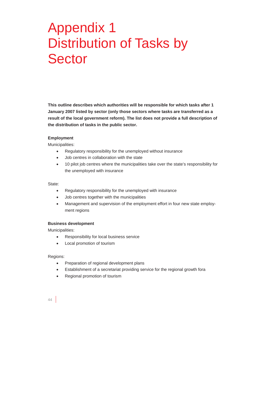# Appendix 1 Distribution of Tasks by Sector

**This outline describes which authorities will be responsible for which tasks after 1 January 2007 listed by sector (only those sectors where tasks are transferred as a result of the local government reform). The list does not provide a full description of the distribution of tasks in the public sector.** 

# **Employment**

Municipalities:

- Regulatory responsibility for the unemployed without insurance
- Job centres in collaboration with the state
- 10 pilot job centres where the municipalities take over the state's responsibility for the unemployed with insurance

### State:

- Regulatory responsibility for the unemployed with insurance
- Job centres together with the municipalities
- Management and supervision of the employment effort in four new state employment regions

### **Business development**

Municipalities:

- Responsibility for local business service
- Local promotion of tourism

### Regions:

- Preparation of regional development plans
- Establishment of a secretariat providing service for the regional growth fora
- Regional promotion of tourism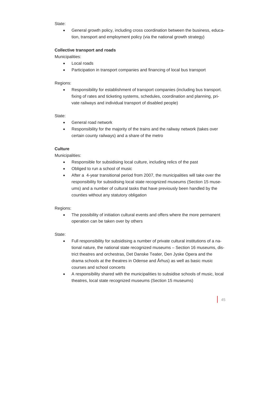State:

• General growth policy, including cross coordination between the business, education, transport and employment policy (via the national growth strategy)

# **Collective transport and roads**

Municipalities:

- Local roads
- Participation in transport companies and financing of local bus transport

# Regions:

• Responsibility for establishment of transport companies (including bus transport. fixing of rates and ticketing systems, schedules, coordination and planning, private railways and individual transport of disabled people)

# State:

- General road network
- Responsibility for the majority of the trains and the railway network (takes over certain county railways) and a share of the metro

# **Culture**

Municipalities:

- Responsible for subsidising local culture, including relics of the past
- Obliged to run a school of music
- After a 4-year transitional period from 2007, the municipalities will take over the responsibility for subsidising local state recognized museums (Section 15 museums) and a number of cultural tasks that have previously been handled by the counties without any statutory obligation

# Regions:

• The possibility of initiation cultural events and offers where the more permanent operation can be taken over by others

# State:

- Full responsibility for subsidising a number of private cultural institutions of a national nature, the national state recognized museums – Section 16 museums, district theatres and orchestras, Det Danske Teater, Den Jyske Opera and the drama schools at the theatres in Odense and Århus) as well as basic music courses and school concerts
- A responsibility shared with the municipalities to subsidise schools of music, local theatres, local state recognized museums (Section 15 museums)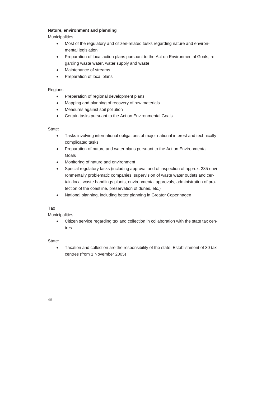# **Nature, environment and planning**

Municipalities:

- Most of the regulatory and citizen-related tasks regarding nature and environmental legislation
- Preparation of local action plans pursuant to the Act on Environmental Goals, regarding waste water, water supply and waste
- Maintenance of streams
- Preparation of local plans

# Regions:

- Preparation of regional development plans
- Mapping and planning of recovery of raw materials
- Measures against soil pollution
- Certain tasks pursuant to the Act on Environmental Goals

# State<sup>.</sup>

- Tasks involving international obligations of major national interest and technically complicated tasks
- Preparation of nature and water plans pursuant to the Act on Environmental Goals
- Monitoring of nature and environment
- Special regulatory tasks (including approval and of inspection of approx. 235 environmentally problematic companies, supervision of waste water outlets and certain local waste handlings plants, environmental approvals, administration of protection of the coastline, preservation of dunes, etc.)
- National planning, including better planning in Greater Copenhagen

# **Tax**

Municipalities:

• Citizen service regarding tax and collection in collaboration with the state tax centres

# State:

• Taxation and collection are the responsibility of the state. Establishment of 30 tax centres (from 1 November 2005)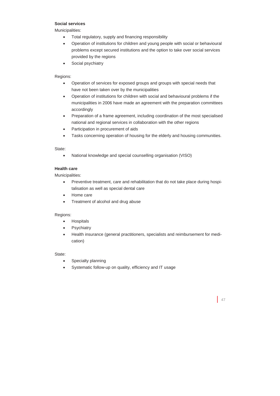# **Social services**

Municipalities:

- Total regulatory, supply and financing responsibility
- Operation of institutions for children and young people with social or behavioural problems except secured institutions and the option to take over social services provided by the regions
- Social psychiatry

# Regions:

- Operation of services for exposed groups and groups with special needs that have not been taken over by the municipalities
- Operation of institutions for children with social and behavioural problems if the municipalities in 2006 have made an agreement with the preparation committees accordingly
- Preparation of a frame agreement, including coordination of the most specialised national and regional services in collaboration with the other regions
- Participation in procurement of aids
- Tasks concerning operation of housing for the elderly and housing communities.

# State:

• National knowledge and special counselling organisation (VISO)

# **Health care**

Municipalities:

- Preventive treatment, care and rehabilitation that do not take place during hospitalisation as well as special dental care
- Home care
- Treatment of alcohol and drug abuse

Regions:

- Hospitals
- **Psychiatry**
- Health insurance (general practitioners, specialists and reimbursement for medication)

State:

- Specialty planning
- Systematic follow-up on quality, efficiency and IT usage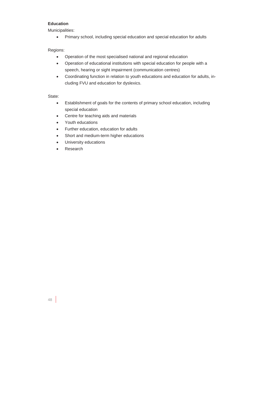# **Education**

Municipalities:

• Primary school, including special education and special education for adults

# Regions:

- Operation of the most specialised national and regional education
- Operation of educational institutions with special education for people with a speech, hearing or sight impairment (communication centres)
- Coordinating function in relation to youth educations and education for adults, including FVU and education for dyslexics.

State:

- Establishment of goals for the contents of primary school education, including special education
- Centre for teaching aids and materials
- Youth educations
- Further education, education for adults
- Short and medium-term higher educations
- University educations
- Research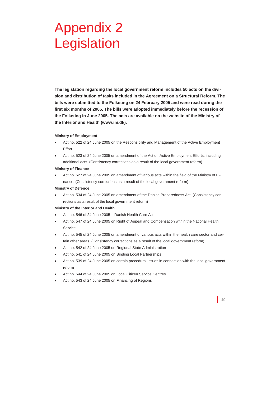# Appendix 2 Legislation

**The legislation regarding the local government reform includes 50 acts on the division and distribution of tasks included in the Agreement on a Structural Reform. The bills were submitted to the Folketing on 24 February 2005 and were read during the first six months of 2005. The bills were adopted immediately before the recession of the Folketing in June 2005. The acts are available on the website of the Ministry of the Interior and Health (www.im.dk).** 

#### **Ministry of Employment**

- Act no. 522 of 24 June 2005 on the Responsibility and Management of the Active Employment Effort
- Act no. 523 of 24 June 2005 on amendment of the Act on Active Employment Efforts, including additional acts. (Consistency corrections as a result of the local government reform)

#### **Ministry of Finance**

• Act no. 527 of 24 June 2005 on amendment of various acts within the field of the Ministry of Finance. (Consistency corrections as a result of the local government reform)

#### **Ministry of Defence**

• Act no. 534 of 24 June 2005 on amendment of the Danish Preparedness Act. (Consistency corrections as a result of the local government reform)

#### **Ministry of the Interior and Health**

- Act no. 546 of 24 June 2005 Danish Health Care Act
- Act no. 547 of 24 June 2005 on Right of Appeal and Compensation within the National Health Service
- Act no. 545 of 24 June 2005 on amendment of various acts within the health care sector and certain other areas. (Consistency corrections as a result of the local government reform)
- Act no. 542 of 24 June 2005 on Regional State Administration
- Act no. 541 of 24 June 2005 on Binding Local Partnerships
- Act no. 539 of 24 June 2005 on certain procedural issues in connection with the local government reform
- Act no. 544 of 24 June 2005 on Local Citizen Service Centres
- Act no. 543 of 24 June 2005 on Financing of Regions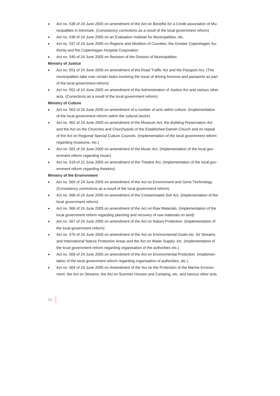- Act no. 538 of 24 June 2005 on amendment of the Act on Benefits for a Credit association of Municipalities in Denmark. (Consistency corrections as a result of the local government reform)
- Act no. 548 of 24 June 2005 on an Evaluation Institute for Municipalities, etc.
- Act no. 537 of 24 June 2005 on Regions and Abolition of Counties, the Greater Copenhagen Authority and the Copenhagen Hospital Corporation
- Act no. 540 of 24 June 2005 on Revision of the Division of Municipalities

#### **Ministry of Justice**

- Act no. 551 of 24 June 2005 on amendment of the Road Traffic Act and the Passport Act. (The municipalities take over certain tasks involving the issue of driving licences and passports as part of the local government reform)
- Act no. 552 of 24 June 2005 on amendment of the Administration of Justice Act and various other acts. (Corrections as a result of the local government reform)

#### **Ministry of Culture**

- Act no. 563 of 24 June 2005 on amendment of a number of acts within culture. (Implementation of the local government reform within the cultural sector)
- Act no. 562 of 24 June 2005 on amendment of the Museum Act, the Building Preservation Act and the Act on the Churches and Churchyards of the Established Danish Church and on repeal of the Act on Regional Special Culture Councils. (Implementation of the local government reform regarding museums, etc.)
- Act no. 561 of 24 June 2005 on amendment of the Music Act. (Implementation of the local government reform regarding music)
- Act no. 519 of 21 June 2005 on amendment of the Theatre Act. (Implementation of the local government reform regarding theatres)

#### **Ministry of the Environment**

- Act no. 565 of 24 June 2005 on amendment of the Act on Environment and Gene Technology. (Consistency corrections as a result of the local government reform)
- Act no. 568 of 24 June 2005 on amendment of the Contaminated Soil Act. (Implementation of the local government reform)
- Act no. 566 of 24 June 2005 on amendment of the Act on Raw Materials. (Implementation of the local government reform regarding planning and recovery of raw materials on land)
- Act no. 567 of 24 June 2005 on amendment of the Act on Nature Protection. (Implementation of the local government reform)
- Act no. 570 of 24 June 2005 on amendment of the Act on Environmental Goals etc. for Streams and International Nature Protection Areas and the Act on Water Supply, etc. (Implementation of the local government reform regarding organisation of the authorities etc.)
- Act no. 569 of 24 June 2005 on amendment of the Act on Environmental Protection. (Implementation of the local government reform regarding organisation of authorities, etc.)
- Act no. 564 of 24 June 2005 on Amendment of the Act on the Protection of the Marine Environment, the Act on Streams, the Act on Summer Houses and Camping, etc. and various other acts.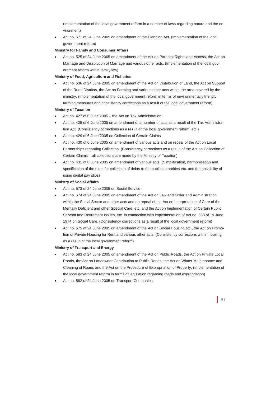(Implementation of the local government reform in a number of laws regarding nature and the environment)

• Act no. 571 of 24 June 2005 on amendment of the Planning Act. (Implementation of the local government reform)

# **Ministry for Family and Consumer Affairs**

• Act no. 525 of 24 June 2005 on amendment of the Act on Parental Rights and Access, the Act on Marriage and Dissolution of Marriage and various other acts. (Implementation of the local government reform within family law)

## **Ministry of Food, Agriculture and Fisheries**

• Act no. 536 of 24 June 2005 on amendment of the Act on Distribution of Land, the Act on Support of the Rural Districts, the Act on Farming and various other acts within the area covered by the ministry. (Implementation of the local government reform in terms of environmentally friendly farming measures and consistency corrections as a result of the local government reform)

# **Ministry of Taxation**

- Act no. 427 of 6 June 2005 the Act on Tax Administration
- Act no. 428 of 6 June 2005 on amendment of a number of acts as a result of the Tax Administration Act. (Consistency corrections as a result of the local government reform, etc.)
- Act no. 429 of 6 June 2005 on Collection of Certain Claims
- Act no. 430 of 6 June 2005 on amendment of various acts and on repeal of the Act on Local Partnerships regarding Collection. (Consistency corrections as a result of the Act on Collection of Certain Claims – all collections are made by the Ministry of Taxation)
- Act no. 431 of 6 June 2005 on amendment of various acts. (Simplification, harmonisation and specification of the rules for collection of debts to the public authorities etc. and the possibility of using digital pay slips)

### **Ministry of Social Affairs**

- Act no. 573 of 24 June 2005 on Social Service
- Act no. 574 of 24 June 2005 on amendment of the Act on Law and Order and Administration within the Social Sector and other acts and on repeal of the Act on Interpretation of Care of the Mentally Deficient and other Special Care, etc. and the Act on Implementation of Certain Public Servant and Retirement Issues, etc. in connection with implementation of Act no. 333 of 19 June 1974 on Social Care. (Consistency corrections as a result of the local government reform)
- Act no. 575 of 24 June 2005 on amendment of the Act on Social Housing etc., the Act on Promotion of Private Housing for Rent and various other acts. (Consistency corrections within housing as a result of the local government reform)

# **Ministry of Transport and Energy**

- Act no. 583 of 24 June 2005 on amendment of the Act on Public Roads, the Act on Private Local Roads, the Act on Landowner Contribution to Public Roads, the Act on Winter Maintenance and Cleaning of Roads and the Act on the Procedure of Expropriation of Property. (Implementation of the local government reform in terms of legislation regarding roads and expropriation)
- Act no. 582 of 24 June 2005 on Transport Companies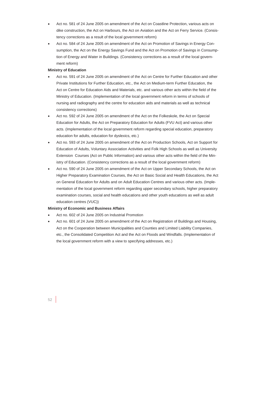- Act no. 581 of 24 June 2005 on amendment of the Act on Coastline Protection, various acts on dike construction, the Act on Harbours, the Act on Aviation and the Act on Ferry Service. (Consistency corrections as a result of the local government reform)
- Act no. 584 of 24 June 2005 on amendment of the Act on Promotion of Savings in Energy Consumption, the Act on the Energy Savings Fund and the Act on Promotion of Savings in Consumption of Energy and Water in Buildings. (Consistency corrections as a result of the local government reform)

#### **Ministry of Education**

- Act no. 591 of 24 June 2005 on amendment of the Act on Centre for Further Education and other Private Institutions for Further Education, etc., the Act on Medium-term Further Education, the Act on Centre for Education Aids and Materials, etc. and various other acts within the field of the Ministry of Education. (Implementation of the local government reform in terms of schools of nursing and radiography and the centre for education aids and materials as well as technical consistency corrections)
- Act no. 592 of 24 June 2005 on amendment of the Act on the Folkeskole, the Act on Special Education for Adults, the Act on Preparatory Education for Adults (FVU Act) and various other acts. (Implementation of the local government reform regarding special education, preparatory education for adults, education for dyslexics, etc.)
- Act no. 593 of 24 June 2005 on amendment of the Act on Production Schools, Act on Support for Education of Adults, Voluntary Association Activities and Folk High Schools as well as University Extension Courses (Act on Public Information) and various other acts within the field of the Ministry of Education. (Consistency corrections as a result of the local government reform)
- Act no. 590 of 24 June 2005 on amendment of the Act on Upper Secondary Schools, the Act on Higher Preparatory Examination Courses, the Act on Basic Social and Health Educations, the Act on General Education for Adults and on Adult Education Centres and various other acts. (Implementation of the local government reform regarding upper secondary schools, higher preparatory examination courses, social and health educations and other youth educations as well as adult education centres (VUC))

#### **Ministry of Economic and Business Affairs**

- Act no. 602 of 24 June 2005 on Industrial Promotion
- Act no. 601 of 24 June 2005 on amendment of the Act on Registration of Buildings and Housing, Act on the Cooperation between Municipalities and Counties and Limited Liability Companies, etc., the Consolidated Competition Act and the Act on Floods and Windfalls. (Implementation of the local government reform with a view to specifying addresses, etc.)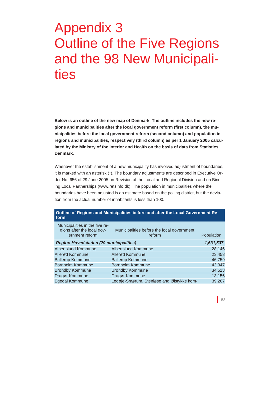# Appendix 3 Outline of the Five Regions and the 98 New Municipalities

**Below is an outline of the new map of Denmark. The outline includes the new regions and municipalities after the local government reform (first column), the municipalities before the local government reform (second column) and population in regions and municipalities, respectively (third column) as per 1 January 2005 calculated by the Ministry of the Interior and Health on the basis of data from Statistics Denmark.** 

Whenever the establishment of a new municipality has involved adjustment of boundaries, it is marked with an asterisk (\*). The boundary adjustments are described in Executive Order No. 656 of 29 June 2005 on Revision of the Local and Regional Division and on Binding Local Partnerships (www.retsinfo.dk). The population in municipalities where the boundaries have been adjusted is an estimate based on the polling district, but the deviation from the actual number of inhabitants is less than 100.

| form                                                                           | <b>Udding or regions and manipulates before and and the E00al O01</b> 01111110111 ht |            |
|--------------------------------------------------------------------------------|--------------------------------------------------------------------------------------|------------|
| Municipalities in the five re-<br>gions after the local gov-<br>ernment reform | Municipalities before the local government<br>reform                                 | Population |
| <b>Region Hovedstaden (29 municipalities)</b>                                  |                                                                                      | 1,631,537  |
| <b>Albertslund Kommune</b>                                                     | Albertslund Kommune                                                                  | 28,146     |
| Allerød Kommune                                                                | Allerød Kommune                                                                      | 23,458     |
| <b>Ballerup Kommune</b>                                                        | <b>Ballerup Kommune</b>                                                              | 46,759     |
| <b>Bornholm Kommune</b>                                                        | <b>Bornholm Kommune</b>                                                              | 43,347     |
| <b>Brøndby Kommune</b>                                                         | <b>Brøndby Kommune</b>                                                               | 34,513     |
| Dragør Kommune                                                                 | Dragør Kommune                                                                       | 13,156     |
| Egedal Kommune                                                                 | Ledøje-Smørum, Stenløse and Ølstykke kom-                                            | 39,267     |

# **Outline of Regions and Municipalities before and after the Local Government Re-**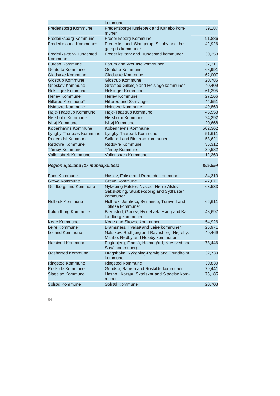|                                    | kommuner                                                      |         |
|------------------------------------|---------------------------------------------------------------|---------|
| Fredensborg Kommune                | Fredensborg-Humlebæk and Karlebo kom-<br>muner                | 39,187  |
| Frederiksberg Kommune              | Frederiksberg Kommune                                         | 91,886  |
| Frederikssund Kommune*             | Frederikssund, Slangerup, Skibby and Jæ-<br>gerspris kommuner | 42,926  |
| Frederiksværk-Hundested<br>Kommune | Frederiksværk and Hundested kommuner                          | 30,253  |
| Furesø Kommune                     | Farum and Værløse kommuner                                    | 37,311  |
| <b>Gentofte Kommune</b>            | <b>Gentofte Kommune</b>                                       | 68,991  |
| Gladsaxe Kommune                   | Gladsaxe Kommune                                              | 62,007  |
| <b>Glostrup Kommune</b>            | Glostrup Kommune                                              | 20,785  |
| Gribskov Kommune                   | Græsted-Gilleleje and Helsinge kommuner                       | 40,409  |
| Helsingør Kommune                  | Helsingør Kommune                                             | 61,295  |
| <b>Herley Kommune</b>              | <b>Herley Kommune</b>                                         | 27,166  |
| Hillerød Kommune*                  | Hillerød and Skævinge                                         | 44,551  |
| <b>Hvidovre Kommune</b>            | <b>Hvidovre Kommune</b>                                       | 49,863  |
| Høje-Taastrup Kommune              | Høje-Taastrup Kommune                                         | 45,553  |
| Hørsholm Kommune                   | Hørsholm Kommune                                              | 24,292  |
| Ishøj Kommune                      | Ishøj Kommune                                                 | 20,668  |
| Københavns Kommune                 | Københavns Kommune                                            | 502,362 |
| Lyngby-Taarbæk Kommune             | Lyngby-Taarbæk Kommune                                        | 51,611  |
| <b>Rudersdal Kommune</b>           | Søllerød and Birkerød kommuner                                | 53,621  |
| Rødovre Kommune                    | Rødovre Kommune                                               | 36,312  |
| Tårnby Kommune                     | Tårnby Kommune                                                | 39,582  |
| Vallensbæk Kommune                 | Vallensbæk Kommune                                            | 12,260  |
|                                    |                                                               |         |

# *Region Sjælland (17 municipalities) 805,954*

| <b>Faxe Kommune</b>      | Haslev, Fakse and Rønnede kommuner                                                             | 34,313 |
|--------------------------|------------------------------------------------------------------------------------------------|--------|
| <b>Greve Kommune</b>     | <b>Greve Kommune</b>                                                                           | 47,671 |
| Guldborgsund Kommune     | Nykøbing-Falster, Nysted, Nørre-Alslev,<br>Sakskøbing, Stubbekøbing and Sydfalster<br>kommuner | 63,533 |
| Holbæk Kommune           | Holbæk, Jernløse, Svinninge, Tornved and<br>Tølløse kommuner                                   | 66,611 |
| Kalundborg Kommune       | Bjergsted, Gørlev, Hvidebæk, Høng and Ka-<br>lundborg kommuner                                 | 48,697 |
| Køge Kommune             | Køge and Skovbo kommuner                                                                       | 54,926 |
| Lejre Kommune            | Bramsnæs, Hvalsø and Leire kommuner                                                            | 25,971 |
| <b>Lolland Kommune</b>   | Nakskov, Rudbjerg and Ravnsborg, Højreby,<br>Maribo, Rødby and Holeby kommuner                 | 49,469 |
| Næstved Kommune          | Fuglebjerg, Fladså, Holmegård, Næstved and<br>Suså kommuner)                                   | 78,446 |
| <b>Odsherred Kommune</b> | Dragsholm, Nykøbing-Rørvig and Trundholm<br>kommuner                                           | 32,739 |
| <b>Ringsted Kommune</b>  | <b>Ringsted Kommune</b>                                                                        | 30,830 |
| Roskilde Kommune         | Gundsø, Ramsø and Roskilde kommuner                                                            | 79,441 |
| Slagelse Kommune         | Hashøj, Korsør, Skælskør and Slagelse kom-<br>muner                                            | 76,185 |
| Solrød Kommune           | Solrød Kommune                                                                                 | 20,703 |
|                          |                                                                                                |        |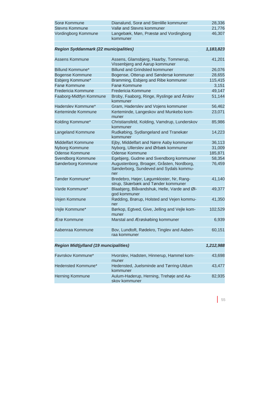| Sorø Kommune          | Dianalund, Sorø and Stenlille kommuner            | 28,336 |
|-----------------------|---------------------------------------------------|--------|
| <b>Stevns Kommune</b> | Vallø and Stevns kommuner                         | 21.776 |
| Vordingborg Kommune   | Langebæk, Møn, Præstø and Vordingborg<br>kommuner | 46.307 |

*Region Syddanmark (22 municipalities) 1,183,823*

| Assens Kommune          | Assens, Glamsbjerg, Haarby, Tommerup,<br>Vissenbjerg and Aarup kommuner                    | 41,201  |
|-------------------------|--------------------------------------------------------------------------------------------|---------|
| Billund Kommune*        | <b>Billund and Grindsted kommuner</b>                                                      | 26,076  |
| <b>Bogense Kommune</b>  | Bogense, Otterup and Søndersø kommuner                                                     | 28,655  |
| Esbjerg Kommune*        | Bramming, Esbjerg and Ribe kommuner                                                        | 115,415 |
| Fanø Kommune            | Fanø Kommune                                                                               | 3,151   |
| Fredericia Kommune      | Fredericia Kommune                                                                         | 49.147  |
| Faaborg-Midtfyn Kommune | Broby, Faaborg, Ringe, Ryslinge and Årslev<br>kommuner                                     | 51,144  |
| Haderslev Kommune*      | Gram, Haderslev and Vojens kommuner                                                        | 56,462  |
| Kerteminde Kommune      | Kerteminde, Langeskov and Munkebo kom-<br>muner                                            | 23,071  |
| Kolding Kommune*        | Christiansfeld, Kolding, Vamdrup, Lunderskov<br>kommuner                                   | 85,986  |
| Langeland Kommune       | Rudkøbing, Sydlangeland and Tranekær<br>kommuner                                           | 14,223  |
| Middelfart Kommune      | Ejby, Middelfart and Nørre Aaby kommuner                                                   | 36,113  |
| Nyborg Kommune          | Nyborg, Ullerslev and Ørbæk kommuner                                                       | 31,009  |
| <b>Odense Kommune</b>   | <b>Odense Kommune</b>                                                                      | 185,871 |
| Svendborg Kommune       | Egebjerg, Gudme and Svendborg kommuner                                                     | 58,354  |
| Sønderborg Kommune      | Augustenborg, Broager, Gråsten, Nordborg,<br>Sønderborg, Sundeved and Sydals kommu-<br>ner | 76,459  |
| Tønder Kommune*         | Bredebro, Højer, Løgumkloster, Nr, Rang-<br>strup, Skærbæk and Tønder kommuner             | 41,140  |
| Varde Kommune*          | Blaabjerg, Blåvandshuk, Helle, Varde and Øl-<br>god kommuner                               | 49,377  |
| Vejen Kommune           | Rødding, Brørup, Holsted and Vejen kommu-<br>ner                                           | 41,350  |
| Vejle Kommune*          | Børkop, Egtved, Give, Jelling and Vejle kom-<br>muner                                      | 102,529 |
| Ærø Kommune             | Marstal and Ærøskøbing kommuner                                                            | 6,939   |
| Aabenraa Kommune        | Bov, Lundtoft, Rødekro, Tinglev and Aaben-<br>raa kommuner                                 | 60,151  |

# *Region Midtjylland (19 muncipalities) 1,212,988*

Favrskov Kommune\* Hvorslev, Hadsten, Hinnerup, Hammel kommuner 43,698 Hedensted Kommune\* Hedensted, Juelsminde and Tørring-Uldum kommuner 43,477 Herning Kommune Aulum-Haderup, Herning, Trehøje and Aaskov kommuner 82,935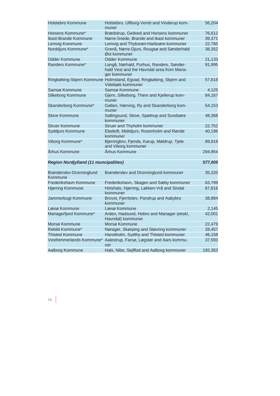| <b>Holstebro Kommune</b>                     | Holstebro, Ulfborg-Vemb and Vinderup kom-<br>muner                                                     | 56,204  |
|----------------------------------------------|--------------------------------------------------------------------------------------------------------|---------|
| Horsens Kommune*                             | Brædstrup, Gedved and Horsens kommuner                                                                 | 76,612  |
| Ikast-Brande Kommune                         | Nørre-Snede, Brande and Ikast kommuner                                                                 | 39,371  |
| Lemvig Kommune                               | Lemvig and Thyborøn-Harboøre kommuner                                                                  | 22,760  |
| Norddjurs Kommune*                           | Grenå, Nørre-Djurs, Rougsø and Sønderhald<br>Øst kommuner                                              | 38,352  |
| Odder Kommune                                | <b>Odder Kommune</b>                                                                                   | 21,133  |
| Randers Kommune*                             | Langå, Nørhald, Purhus, Randers, Sønder-<br>hald Vest and the Havndal area from Maria-<br>ger kommuner | 91,995  |
|                                              | Ringkøbing-Skjern Kommune Holmsland, Egvad, Ringkøbing, Skjern and<br>Videbæk kommuner                 | 57,818  |
| Samsø Kommune                                | Samsø Kommune                                                                                          | 4,125   |
| Silkeborg Kommune                            | Gjern, Silkeborg, Them and Kjellerup kom-<br>muner                                                     | 84,167  |
| Skanderborg Kommune*                         | Galten, Hørning, Ry and Skanderborg kom-<br>muner                                                      | 54,153  |
| <b>Skive Kommune</b>                         | Sallingsund, Skive, Spøttrup and Sundsøre<br>kommuner                                                  | 48,368  |
| <b>Struer Kommune</b>                        | Struer and Thyholm kommuner                                                                            | 22,752  |
| Syddjurs Kommune                             | Ebeltoft, Midtdjurs, Rosenholm and Rønde<br>kommuner                                                   | 40,196  |
| Viborg Kommune*                              | Bjerringbro, Fjends, Karup, Møldrup, Tjele<br>and Viborg kommuner                                      | 89,918  |
| Århus Kommune                                | Århus Kommune                                                                                          | 294,954 |
|                                              |                                                                                                        |         |
| <b>Region Nordjylland (11 muncipalities)</b> |                                                                                                        | 577,005 |

| Brønderslev-Dronninglund<br>Kommune | Brønderslev and Dronninglund kommuner                           | 35,320  |
|-------------------------------------|-----------------------------------------------------------------|---------|
| Frederikshavn Kommune               | Frederikshavn, Skagen and Sæby kommuner                         | 63,799  |
| <b>Hjørring Kommune</b>             | Hirtshals, Hjørring, Løkken-Vrå and Sindal<br>kommuner          | 67,816  |
| Jammerbugt Kommune                  | Brovst, Fjerritslev, Pandrup and Aabybro<br>kommuner            | 38,884  |
| Læsø Kommune                        | Læsø Kommune                                                    | 2,145   |
| Mariagerfjord Kommune*              | Arden, Hadsund, Hobro and Mariager (ekskl,<br>Havndal) kommuner | 42,001  |
| Morsø Kommune                       | Morsø Kommune                                                   | 22,479  |
| Rebild Kommune*                     | Nørager, Skørping and Støvring kommuner                         | 28,457  |
| <b>Thisted Kommune</b>              | Hanstholm, Sydthy and Thisted kommuner                          | 46,158  |
| Vesthimmerlands Kommune*            | Aalestrup, Farsø, Løgstør and Aars kommu-<br>ner                | 37,593  |
| Aalborg Kommune                     | Hals, Nibe, Seilflod and Aalborg kommuner                       | 192,353 |